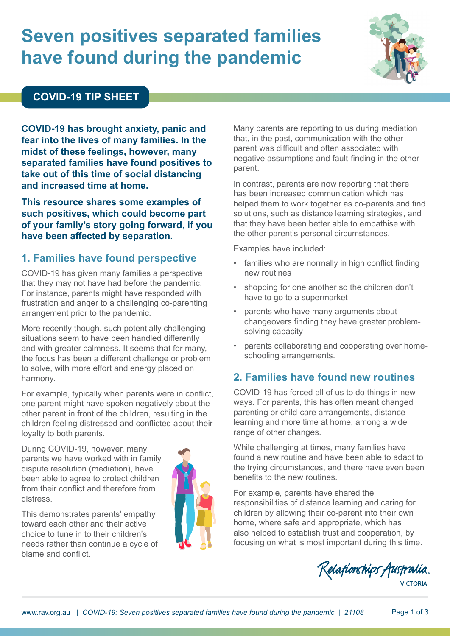# **Seven positives separated families have found during the pandemic**



#### **COVID-19 TIP SHEET**

**COVID-19 has brought anxiety, panic and fear into the lives of many families. In the midst of these feelings, however, many separated families have found positives to take out of this time of social distancing and increased time at home.**

**This resource shares some examples of such positives, which could become part of your family's story going forward, if you have been affected by separation.** 

## **1. Families have found perspective**

COVID-19 has given many families a perspective that they may not have had before the pandemic. For instance, parents might have responded with frustration and anger to a challenging co-parenting arrangement prior to the pandemic.

More recently though, such potentially challenging situations seem to have been handled differently and with greater calmness. It seems that for many, the focus has been a different challenge or problem to solve, with more effort and energy placed on harmony.

For example, typically when parents were in conflict, one parent might have spoken negatively about the other parent in front of the children, resulting in the children feeling distressed and conflicted about their loyalty to both parents.

During COVID-19, however, many parents we have worked with in family dispute resolution (mediation), have been able to agree to protect children from their conflict and therefore from distress.

This demonstrates parents' empathy toward each other and their active choice to tune in to their children's needs rather than continue a cycle of blame and conflict.



Many parents are reporting to us during mediation that, in the past, communication with the other parent was difficult and often associated with negative assumptions and fault-finding in the other parent.

In contrast, parents are now reporting that there has been increased communication which has helped them to work together as co-parents and find solutions, such as distance learning strategies, and that they have been better able to empathise with the other parent's personal circumstances.

Examples have included:

- families who are normally in high conflict finding new routines
- shopping for one another so the children don't have to go to a supermarket
- parents who have many arguments about changeovers finding they have greater problemsolving capacity
- parents collaborating and cooperating over homeschooling arrangements.

# **2. Families have found new routines**

COVID-19 has forced all of us to do things in new ways. For parents, this has often meant changed parenting or child-care arrangements, distance learning and more time at home, among a wide range of other changes.

While challenging at times, many families have found a new routine and have been able to adapt to the trying circumstances, and there have even been benefits to the new routines.

For example, parents have shared the responsibilities of distance learning and caring for children by allowing their co-parent into their own home, where safe and appropriate, which has also helped to establish trust and cooperation, by focusing on what is most important during this time.

Relationships Australia.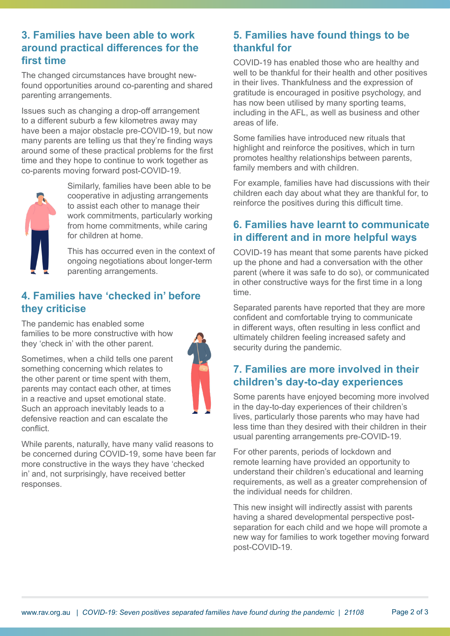#### **3. Families have been able to work around practical differences for the first time**

The changed circumstances have brought newfound opportunities around co-parenting and shared parenting arrangements.

Issues such as changing a drop-off arrangement to a different suburb a few kilometres away may have been a major obstacle pre-COVID-19, but now many parents are telling us that they're finding ways around some of these practical problems for the first time and they hope to continue to work together as co-parents moving forward post-COVID-19.



responses.

Similarly, families have been able to be cooperative in adjusting arrangements to assist each other to manage their work commitments, particularly working from home commitments, while caring for children at home.

This has occurred even in the context of ongoing negotiations about longer-term parenting arrangements.

#### **4. Families have 'checked in' before they criticise**

The pandemic has enabled some families to be more constructive with how they 'check in' with the other parent.

Sometimes, when a child tells one parent something concerning which relates to the other parent or time spent with them, parents may contact each other, at times

in a reactive and upset emotional state. Such an approach inevitably leads to a defensive reaction and can escalate the conflict. While parents, naturally, have many valid reasons to be concerned during COVID-19, some have been far more constructive in the ways they have 'checked in' and, not surprisingly, have received better

## **5. Families have found things to be thankful for**

COVID-19 has enabled those who are healthy and well to be thankful for their health and other positives in their lives. Thankfulness and the expression of gratitude is encouraged in positive psychology, and has now been utilised by many sporting teams, including in the AFL, as well as business and other areas of life.

Some families have introduced new rituals that highlight and reinforce the positives, which in turn promotes healthy relationships between parents, family members and with children.

For example, families have had discussions with their children each day about what they are thankful for, to reinforce the positives during this difficult time.

# **6. Families have learnt to communicate in different and in more helpful ways**

COVID-19 has meant that some parents have picked up the phone and had a conversation with the other parent (where it was safe to do so), or communicated in other constructive ways for the first time in a long time.

Separated parents have reported that they are more confident and comfortable trying to communicate in different ways, often resulting in less conflict and ultimately children feeling increased safety and security during the pandemic.

# **7. Families are more involved in their children's day-to-day experiences**

Some parents have enjoyed becoming more involved in the day-to-day experiences of their children's lives, particularly those parents who may have had less time than they desired with their children in their usual parenting arrangements pre-COVID-19.

For other parents, periods of lockdown and remote learning have provided an opportunity to understand their children's educational and learning requirements, as well as a greater comprehension of the individual needs for children.

This new insight will indirectly assist with parents having a shared developmental perspective postseparation for each child and we hope will promote a new way for families to work together moving forward post-COVID-19.